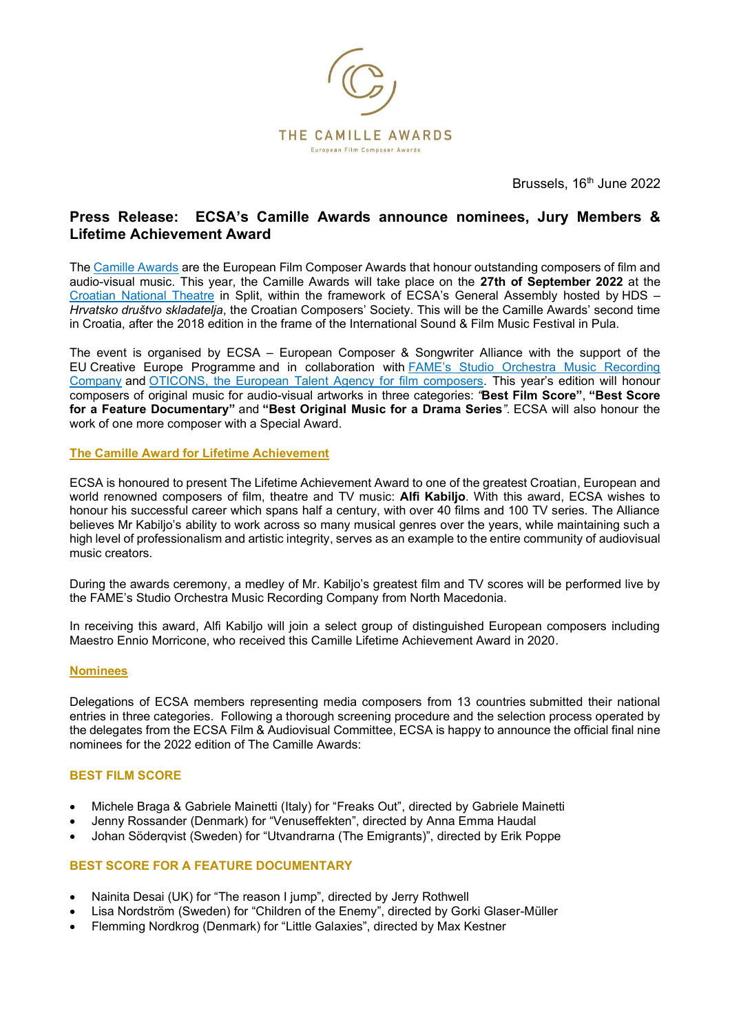

Brussels, 16<sup>th</sup> June 2022

# **Press Release: ECSA's Camille Awards announce nominees, Jury Members & Lifetime Achievement Award**

The [Camille Awards](https://camilleawards.eu/) are the European Film Composer Awards that honour outstanding composers of film and audio-visual music. This year, the Camille Awards will take place on the **27th of September 2022** at the [Croatian National Theatre](https://www.hnk-split.hr/) in Split, within the framework of ECSA's General Assembly hosted by HDS -*Hrvatsko društvo skladatelja*, the Croatian Composers' Society. This will be the Camille Awards' second time in Croatia, after the 2018 edition in the frame of the International Sound & Film Music Festival in Pula.

The event is organised by ECSA  $-$  European Composer & Songwriter Alliance with the support of the EU Creative Europe Programme and in collaboration with **FAME's Studio Orchestra Music Recording** [Company](https://www.fames-project.com/) and [OTICONS, the European Talent Agency for film composers.](https://www.oticons.com/) This year's edition will honour composers of original music for audio-visual artworks in three categories: "Best Film Score", "Best Score for a Feature Documentary" and "Best Original Music for a Drama Series". ECSA will also honour the work of one more composer with a Special Award.

## **The Camille Award for Lifetime Achievement**

ECSA is honoured to present The Lifetime Achievement Award to one of the greatest Croatian, European and world renowned composers of film, theatre and TV music: **Alfi Kabiljo**. With this award, ECSA wishes to honour his successful career which spans half a century, with over 40 films and 100 TV series. The Alliance believes Mr Kabiljo's ability to work across so many musical genres over the years, while maintaining such a high level of professionalism and artistic integrity, serves as an example to the entire community of audiovisual music creators.

During the awards ceremony, a medley of Mr. Kabiljo's greatest film and TV scores will be performed live by the FAME's Studio Orchestra Music Recording Company from North Macedonia.

In receiving this award, Alfi Kabiljo will join a select group of distinguished European composers including Maestro Ennio Morricone, who received this Camille Lifetime Achievement Award in 2020.

#### **Nominees**

Delegations of ECSA members representing media composers from 13 countries submitted their national entries in three categories. Following a thorough screening procedure and the selection process operated by the delegates from the ECSA Film & Audiovisual Committee, ECSA is happy to announce the official final nine nominees for the 2022 edition of The Camille Awards:

## **BEST FILM SCORE**

- Michele Braga & Gabriele Mainetti (Italy) for "Freaks Out", directed by Gabriele Mainetti
- Jenny Rossander (Denmark) for "Venuseffekten", directed by Anna Emma Haudal
- Johan Södergyist (Sweden) for "Utvandrarna (The Emigrants)", directed by Erik Poppe

## **BEST SCORE FOR A FEATURE DOCUMENTARY**

- Nainita Desai (UK) for "The reason I jump", directed by Jerry Rothwell
- Lisa Nordström (Sweden) for "Children of the Enemy", directed by Gorki Glaser-Müller
- Flemming Nordkrog (Denmark) for "Little Galaxies", directed by Max Kestner